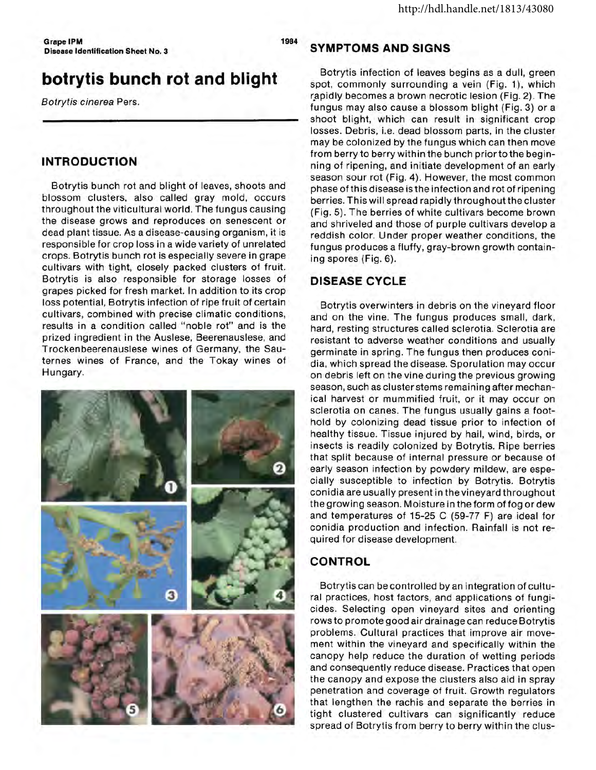Grape IPM 1984 Disease Identification Sheet No.3

# **botrytis bunch rot and blight**

Botrytis cinerea Pers.

### **INTRODUCTION**

Botrytis bunch rot and blight of leaves, shoots and blossom clusters, also called gray mold, occurs throughout the viticultural world. The fungus causing the disease grows and reproduces on senescent or dead plant tissue. As a disease-causing organism, it is responsible for crop loss in a wide variety of unrelated crops. Botrytis bunch rot is especially severe in grape cultivars with tight, closely packed clusters of fruit. Botrytis is also responsible for storage losses of grapes picked for fresh market. In addition to its crop loss potential, Botrytis infection of ripe fruit of certain cultivars, combined with precise climatic conditions, results in a condition called "noble rot" and is the prized ingredient in the Auslese, Beerenauslese, and Trockenbeerenauslese wines of Germany, the Sauternes wines of France, and the Tokay wines of Hungary.



#### **SYMPTOMS AND SIGNS**

Botrytis infection of leaves begins as a dull, green spot, commonly surrounding a vein (Fig. 1), which rapidly becomes a brown necrotic lesion (Fig. 2). The fungus may also cause a blossom blight (Fig. 3) or a shoot blight, which can result in significant crop losses. Debris, i.e. dead blossom parts, in the cluster may be colonized by the fungus which can then move from berry to berry within the bunch prior to the beginning of ripening, and initiate development of an early season sour rot (Fig. 4). However, the most common phase of this disease is the infection and rot of ripening berries. This will spread rapidly throughout the cluster (Fig. 5). The berries of white cultivars become brown and shriveled and those of purple cultivars develop a reddish color. Under proper weather conditions, the fungus produces a fluffy, gray-brown growth containing spores (Fig. 6).

#### **DISEASE CYCLE**

Botrytis overwinters in debris on the vineyard floor and on the vine. The fungus produces small, dark, hard, resting structures called sclerotia. Sclerotia are resistant to adverse weather conditions and usually germinate in spring. The fungus then produces conidia, which spread the disease. Sporulation may occur on debris left on the vine during the previous growing season, such as cluster stems remaining after mechanical harvest or mummified fruit, or it may occur on sclerotia on canes. The fungus usually gains a foothold by colonizing dead tissue prior to infection of healthy tissue. Tissue injured by hail, wind, birds, or insects is readily colonized by Botrytis. Ripe berries that split because of internal pressure or because of early season infection by powdery mildew, are especially susceptible to infection by Botrytis. Botrytis conidia are usually present in the vineyard throughout the growing season. Moisture in the form of fog or dew and temperatures of 15-25 C (59-77 F) are ideal for conidia production and infection. Rainfall is not required for disease development.

## **CONTROL**

Botrytis can be controlled by an integration of cultural practices, host factors, and applications of fungicides. Selecting open vineyard sites and orienting rows to promote good air drainage can reduce Botrytis problems. Cultural practices that improve air movement within the vineyard and specifically within the canopy help reduce the duration of wetting periods and consequently reduce disease. Practices that open the canopy and expose the clusters also aid in spray penetration and coverage of fruit. Growth regulators that lengthen the rachis and separate the berries in tight clustered cultivars can significantly reduce spread of Botrytis from berry to berry within the clus